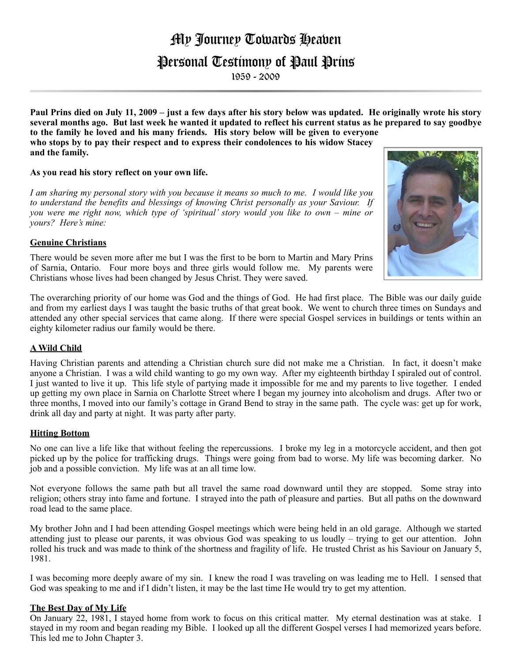# My Journey Towards Heaven

# Personal Testimony of Paul Prins

1959 - 2009

**Paul Prins died on July 11, 2009 – just a few days after his story below was updated. He originally wrote his story several months ago. But last week he wanted it updated to reflect his current status as he prepared to say goodbye to the family he loved and his many friends. His story below will be given to everyone who stops by to pay their respect and to express their condolences to his widow Stacey and the family.**

## **As you read his story reflect on your own life.**

*I am sharing my personal story with you because it means so much to me. I would like you to understand the benefits and blessings of knowing Christ personally as your Saviour. If you were me right now, which type of 'spiritual' story would you like to own – mine or yours? Here's mine:*

#### **Genuine Christians**

There would be seven more after me but I was the first to be born to Martin and Mary Prins of Sarnia, Ontario. Four more boys and three girls would follow me. My parents were Christians whose lives had been changed by Jesus Christ. They were saved.

The overarching priority of our home was God and the things of God. He had first place. The Bible was our daily guide and from my earliest days I was taught the basic truths of that great book. We went to church three times on Sundays and attended any other special services that came along. If there were special Gospel services in buildings or tents within an eighty kilometer radius our family would be there.

## **A Wild Child**

Having Christian parents and attending a Christian church sure did not make me a Christian. In fact, it doesn't make anyone a Christian. I was a wild child wanting to go my own way. After my eighteenth birthday I spiraled out of control. I just wanted to live it up. This life style of partying made it impossible for me and my parents to live together. I ended up getting my own place in Sarnia on Charlotte Street where I began my journey into alcoholism and drugs. After two or three months, I moved into our family's cottage in Grand Bend to stray in the same path. The cycle was: get up for work, drink all day and party at night. It was party after party.

#### **Hitting Bottom**

No one can live a life like that without feeling the repercussions. I broke my leg in a motorcycle accident, and then got picked up by the police for trafficking drugs. Things were going from bad to worse. My life was becoming darker. No job and a possible conviction. My life was at an all time low.

Not everyone follows the same path but all travel the same road downward until they are stopped. Some stray into religion; others stray into fame and fortune. I strayed into the path of pleasure and parties. But all paths on the downward road lead to the same place.

My brother John and I had been attending Gospel meetings which were being held in an old garage. Although we started attending just to please our parents, it was obvious God was speaking to us loudly – trying to get our attention. John rolled his truck and was made to think of the shortness and fragility of life. He trusted Christ as his Saviour on January 5, 1981.

I was becoming more deeply aware of my sin. I knew the road I was traveling on was leading me to Hell. I sensed that God was speaking to me and if I didn't listen, it may be the last time He would try to get my attention.

#### **The Best Day of My Life**

On January 22, 1981, I stayed home from work to focus on this critical matter. My eternal destination was at stake. I stayed in my room and began reading my Bible. I looked up all the different Gospel verses I had memorized years before. This led me to John Chapter 3.